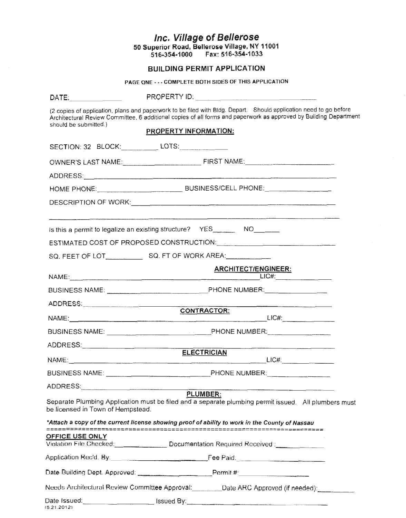|                                                                                                                                                                                                                                | Inc. Village of Bellerose<br>50 Superior Road, Bellerose Village, NY 11001<br>516-354-1000    Fax: 516-354-1033                                                                                                                        |
|--------------------------------------------------------------------------------------------------------------------------------------------------------------------------------------------------------------------------------|----------------------------------------------------------------------------------------------------------------------------------------------------------------------------------------------------------------------------------------|
|                                                                                                                                                                                                                                | <b>BUILDING PERMIT APPLICATION</b>                                                                                                                                                                                                     |
|                                                                                                                                                                                                                                | PAGE ONE - - - COMPLETE BOTH SIDES OF THIS APPLICATION                                                                                                                                                                                 |
| DATE: the contract of the contract of the contract of the contract of the contract of the contract of the contract of the contract of the contract of the contract of the contract of the contract of the contract of the cont |                                                                                                                                                                                                                                        |
| should be submitted.)                                                                                                                                                                                                          | (2 copies of application, plans and paperwork to be filed with Bldg. Depart. Should application need to go before<br>Architectural Review Committee, 6 additional copies of all forms and paperwork as approved by Building Department |
|                                                                                                                                                                                                                                | <b>PROPERTY INFORMATION:</b>                                                                                                                                                                                                           |
|                                                                                                                                                                                                                                | SECTION: 32 BLOCK:____________ LOTS:______________                                                                                                                                                                                     |
|                                                                                                                                                                                                                                |                                                                                                                                                                                                                                        |
|                                                                                                                                                                                                                                |                                                                                                                                                                                                                                        |
|                                                                                                                                                                                                                                |                                                                                                                                                                                                                                        |
|                                                                                                                                                                                                                                |                                                                                                                                                                                                                                        |
|                                                                                                                                                                                                                                | Is this a permit to legalize an existing structure? YES_________ NO________                                                                                                                                                            |
|                                                                                                                                                                                                                                | ESTIMATED COST OF PROPOSED CONSTRUCTION: NATIONAL CONSTRUCTION                                                                                                                                                                         |
|                                                                                                                                                                                                                                | SQ. FEET OF LOT SQ. FT OF WORK AREA:                                                                                                                                                                                                   |
|                                                                                                                                                                                                                                | <b>ARCHITECT/ENGINEER:</b>                                                                                                                                                                                                             |
|                                                                                                                                                                                                                                |                                                                                                                                                                                                                                        |
|                                                                                                                                                                                                                                |                                                                                                                                                                                                                                        |
|                                                                                                                                                                                                                                | <b>CONTRACTOR:</b>                                                                                                                                                                                                                     |
|                                                                                                                                                                                                                                |                                                                                                                                                                                                                                        |
|                                                                                                                                                                                                                                |                                                                                                                                                                                                                                        |
|                                                                                                                                                                                                                                | <b>ELECTRICIAN</b>                                                                                                                                                                                                                     |
|                                                                                                                                                                                                                                |                                                                                                                                                                                                                                        |
|                                                                                                                                                                                                                                |                                                                                                                                                                                                                                        |
| be licensed in Town of Hempstead.                                                                                                                                                                                              | ADDRESS: PLUMBER:<br>Separate Plumbing Application must be filed and a separate plumbing permit issued. All plumbers must                                                                                                              |
|                                                                                                                                                                                                                                | *Attach a copy of the current license showing proof of ability to work in the County of Nassau                                                                                                                                         |
| OFFICE USE ONLY                                                                                                                                                                                                                | Violation File Checked: Documentation Required Received :                                                                                                                                                                              |
|                                                                                                                                                                                                                                | Application Rec'd. By: Fee Paid: Fee Paid:                                                                                                                                                                                             |
|                                                                                                                                                                                                                                | Date Building Dept. Approved: ______________________Permit #:___________________                                                                                                                                                       |
|                                                                                                                                                                                                                                | Needs Architectural Review Committee Approval: _________Date ARC Approved (if needed): ____________                                                                                                                                    |
| (5.21.2012)                                                                                                                                                                                                                    |                                                                                                                                                                                                                                        |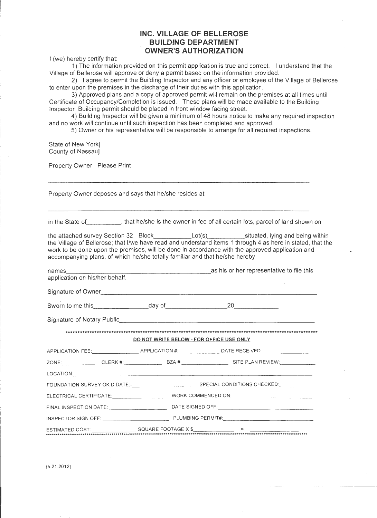### **INC. VILLAGE OF BELLEROSE BUILDING DEPARTMENT OWNER'S AUTHORIZATION**

I (we) hereby certify that:

1) The information provided on this permit application is true and correct. I understand that the Village of Bellerose will approve or deny a permit based on the information provided.

2) I agree to permit the Building Inspector and any officer or employee of the Village of Bellerose to enter upon the premises in the discharge of their duties with this application.

3) Approved plans and a copy of approved permit will remain on the premises at all times until Certificate of Occupancy/Completion is issued. These plans will be made available to the Building Inspector Building permit should be placed in front window facing street.

4) Building Inspector will be given a minimum of 48 hours notice to make any required inspection and no work will continue until such inspection has been completed and approved .

5) Owner or his representative will be responsible to arrange for all required inspections.

State of New York] County of Nassau)

Property Owner- Please Print

Property Owner deposes and says that he/she resides at:

in the State of \_\_\_\_\_\_\_\_, that he/she is the owner in fee of all certain lots, parcel of land shown on

the attached survey Section 32 Block Lot(s) situated, lying and being within the Village of Bellerose; that 1/we have read and understand items 1 through 4 as here in stated, that the work to be done upon the premises, will be done in accordance with the approved application and accompanying plans, of which he/she totally familiar and that he/she hereby

| names                          | as his or her representative to file this |
|--------------------------------|-------------------------------------------|
| application on his/her behalf. |                                           |

Signature of Owner **Example 20**  $\frac{1}{2}$   $\frac{1}{2}$   $\frac{1}{2}$   $\frac{1}{2}$   $\frac{1}{2}$   $\frac{1}{2}$   $\frac{1}{2}$   $\frac{1}{2}$   $\frac{1}{2}$   $\frac{1}{2}$   $\frac{1}{2}$   $\frac{1}{2}$   $\frac{1}{2}$   $\frac{1}{2}$   $\frac{1}{2}$   $\frac{1}{2}$   $\frac{1}{2}$   $\frac{1}{2}$   $\frac{1}{2}$ 

Sworn to me this. \_\_\_\_\_\_\_\_ day of \_\_\_\_\_\_\_\_ 20 \_\_\_\_\_ \_

Signature of Notary Public.

\*\*\*\*\*\*\*\*\*\*\*\*\*\*\*\*\*\*\*\*\*\*\*\*\*\*\*\*\*\*\*\*\*\*\*\*\*\*\*\*\*\*\*\*\*\*\*\*\*\*\*\*\*\*\*\*\*\*\*\*\*\*\*\*\*\*\*\*\*\*\*\*\*\*\*\*\*\*\*\*\*\*\*\*\*\*\*\*\*\*\*\*\*\*\*\*\*\*\*\*\*\*\*\*\*

**DO NOT WRITE BELOW - FOR OFFICE USE ONLY** 

|  | APPLICATION FEE:____________________APPLICATION #:____________________DATE RECEIVED:________________ |  |
|--|------------------------------------------------------------------------------------------------------|--|
|  |                                                                                                      |  |
|  |                                                                                                      |  |
|  |                                                                                                      |  |
|  |                                                                                                      |  |
|  |                                                                                                      |  |
|  |                                                                                                      |  |
|  |                                                                                                      |  |
|  |                                                                                                      |  |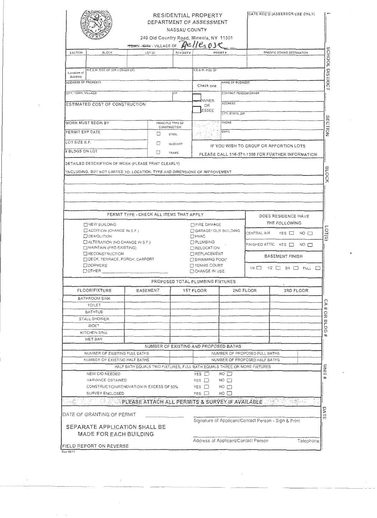|                                                                              |                          |                                          | RESIDENTIAL PROPERTY<br>DEPARTMENT OF ASSESSMENT<br>NASSAU COUNTY<br>240 Old Country Road, Mineola, NY 11501<br>Beller OSC |                                         |                                                                | DATE REC'D (ASSESSOR USE ONLY)                       |
|------------------------------------------------------------------------------|--------------------------|------------------------------------------|----------------------------------------------------------------------------------------------------------------------------|-----------------------------------------|----------------------------------------------------------------|------------------------------------------------------|
|                                                                              | TOWN - GITY - VILLAGE OF |                                          |                                                                                                                            |                                         |                                                                |                                                      |
| SECTION<br><b>BLOCK</b>                                                      | LOT <sub>(S)</sub>       | SCH DIST #                               |                                                                                                                            | PERMIT #                                |                                                                | SPECIFIC ZONING DESIGNATION                          |
|                                                                              |                          |                                          |                                                                                                                            |                                         |                                                                |                                                      |
| N.E.S.W. SIDE OF (OR CORNER OF)<br>Location of<br><b>Building</b>            |                          |                                          | N.E.S.W. SIDE OF                                                                                                           |                                         |                                                                |                                                      |
| ADDRESS OF PROPERTY                                                          |                          |                                          |                                                                                                                            | NAME OF BUSINESS                        |                                                                |                                                      |
| CITY, TOWN, VILLAGE                                                          |                          | $Z$ <sup><math>p</math></sup>            | Check one                                                                                                                  | CONTACT PERSON/OWNER                    |                                                                |                                                      |
|                                                                              |                          |                                          | <b>WNER</b>                                                                                                                |                                         |                                                                |                                                      |
| ESTIMATED COST OF CONSTRUCTION:                                              |                          |                                          | OR                                                                                                                         | <b>ADDRESS</b>                          |                                                                |                                                      |
|                                                                              |                          |                                          | ESSEE                                                                                                                      | CITY, STATE, ZIP                        |                                                                |                                                      |
| WORK MUST BEGIN BY                                                           |                          | PRINCIPLE TYPE OF                        |                                                                                                                            | - PHONE                                 |                                                                |                                                      |
| PERMIT EXP DATE                                                              |                          | CONSTRUCTION                             |                                                                                                                            | EMAIL                                   |                                                                |                                                      |
|                                                                              |                          | □<br>STEEL                               |                                                                                                                            |                                         |                                                                |                                                      |
| LOT SIZE S.F.                                                                |                          | □<br>MASONRY                             |                                                                                                                            |                                         |                                                                | IF YOU WISH TO GROUP OR APPORTION LOTS               |
| # BLDGS ON LOT                                                               |                          | □<br>FRAME                               |                                                                                                                            |                                         |                                                                | PLEASE CALL 516-571-1500 FOR FURTHER INFORMATION     |
| "INCLUDING, BUT NOT LIMITED TO: LOCATION, TYPE AND DIMENSIONS OF IMPROVEMENT |                          |                                          |                                                                                                                            |                                         |                                                                |                                                      |
| <b>MEW BUILDING</b>                                                          |                          | PERMIT TYPE - CHECK ALL ITEMS THAT APPLY | <b>THRE DAMAGE</b>                                                                                                         |                                         |                                                                | DOES RESIDENCE HAVE<br>THE FOLLOWING                 |
| $\Box$ ADDITION (CHANGE IN S.F.)                                             |                          |                                          | GARAGE! OUT BUILDING                                                                                                       |                                         | CENTRAL AIR                                                    | YES I<br>$NO$ $\Box$                                 |
| DEMOLITION                                                                   |                          |                                          | $\Box$ HVAC                                                                                                                |                                         |                                                                |                                                      |
| $\Box$ ALTERATION (NO CHANGE IN S.F.)<br>MAINTAIN (PRE-EXISTING)             |                          |                                          | <b>DPLUMBING</b><br><b>ELOCATION</b>                                                                                       |                                         |                                                                | FINISHED ATTIC YES $\Box$ NO $\Box$                  |
| <b>IRECONSTRUCTION</b>                                                       |                          |                                          |                                                                                                                            | □ REPLACEMENT<br><b>BASEMENT FINISH</b> |                                                                |                                                      |
| DECK, TERRACE, PORCH, CARPORT                                                |                          |                                          | □ SWIMMING POOL*                                                                                                           |                                         |                                                                |                                                      |
|                                                                              |                          |                                          |                                                                                                                            |                                         | $1/4$ $\Box$                                                   | $1/2$ $\Box$ $3/4$ $\Box$ $\Box$ $\Box$ $\Box$       |
| ODORMERS<br>$\Box$ OTHER $\_$                                                |                          |                                          | □ TENNIS COURT<br>□ CHANGE IN USE                                                                                          |                                         |                                                                |                                                      |
|                                                                              |                          |                                          |                                                                                                                            |                                         |                                                                |                                                      |
|                                                                              |                          |                                          | PROPOSED TOTAL PLUMBING FIXTURES                                                                                           |                                         |                                                                |                                                      |
| <b>FLOOR/FIXTURE</b>                                                         | BASEMENT                 |                                          | 1ST FLOOR                                                                                                                  |                                         | 2ND FLOOR                                                      | 3RD FLOOR                                            |
| <b>BATHROOM SINK</b><br><b>TOILET</b>                                        |                          |                                          |                                                                                                                            |                                         |                                                                |                                                      |
| BATHTUB                                                                      |                          |                                          |                                                                                                                            |                                         |                                                                |                                                      |
| STALL SHOWER                                                                 |                          |                                          |                                                                                                                            |                                         |                                                                |                                                      |
| BIDET                                                                        |                          |                                          |                                                                                                                            |                                         |                                                                |                                                      |
| KITCHEN SINK                                                                 |                          |                                          |                                                                                                                            |                                         |                                                                |                                                      |
| WET BAR                                                                      |                          |                                          |                                                                                                                            |                                         |                                                                |                                                      |
|                                                                              |                          |                                          | NUMBER OF EXISTING AND PROPOSED BATHS                                                                                      |                                         |                                                                |                                                      |
| NUMBER OF EXISTING FULL BATHS<br>NUMBER OF EXISTING HALF BATHS               |                          |                                          |                                                                                                                            |                                         | NUMBER OF PROPOSED FULL BATHS<br>NUMBER OF PROPOSED HALF BATHS |                                                      |
|                                                                              |                          |                                          | HALF BATH EQUALS TWO FIXTURES, FULL BATH EQUALS THREE OR MORE FIXTURES                                                     |                                         |                                                                |                                                      |
| NEW C/O NEEDED                                                               |                          |                                          | YES □                                                                                                                      | $NO$ $\Box$                             |                                                                |                                                      |
| VARIANCE OBTAINED                                                            |                          |                                          | YES □                                                                                                                      | $NO$ $\Box$                             |                                                                |                                                      |
| CONSTRUCTION/RENOVATION IN EXCESS OF 50%                                     |                          |                                          | YES □                                                                                                                      | $NO$ $\Box$                             |                                                                |                                                      |
| SURVEY ENCLOSED                                                              |                          |                                          | YES □                                                                                                                      | $NO$ $\Box$                             |                                                                |                                                      |
| <b>EN ALTERNATIVE ASSESSE ATTACH ALL PERMITS &amp; SURVEY IF AVAILABLE.</b>  |                          |                                          |                                                                                                                            |                                         |                                                                |                                                      |
| DATE OF GRANTING OF PERMIT                                                   |                          |                                          |                                                                                                                            |                                         |                                                                |                                                      |
|                                                                              |                          |                                          |                                                                                                                            |                                         |                                                                | Signature of Applicant/Contact Person - Sign & Print |
| SEPARATE APPLICATION SHALL BE<br>MADE FOR EACH BUILDING                      |                          |                                          |                                                                                                                            |                                         |                                                                |                                                      |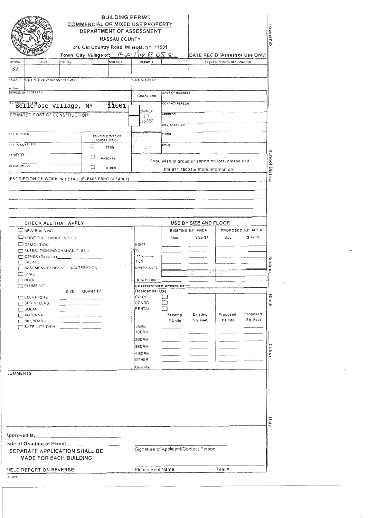| COMMERCIAL OR MIXED USE PROPERTY<br>240 Old Country Road, Mineola, NY 11501<br>Town, City, Village of:<br>ECTION<br><b>BLOCK</b><br>LOT (S)                                                                                                                                                                                                                                          | <b>BUILDING PERMIT</b><br><b>NASSAU COUNTY</b><br>$R \cap P$<br><b>SCH DIST</b> | DEPARTMENT OF ASSESSMENT<br>erose<br>PERMIT #                                                                                                                              |                                                                       |                                                                | SPECIFIC ZONING DESIGNATION | ownship<br>DATE REC'D (Assessor Use Only)                                                              |
|--------------------------------------------------------------------------------------------------------------------------------------------------------------------------------------------------------------------------------------------------------------------------------------------------------------------------------------------------------------------------------------|---------------------------------------------------------------------------------|----------------------------------------------------------------------------------------------------------------------------------------------------------------------------|-----------------------------------------------------------------------|----------------------------------------------------------------|-----------------------------|--------------------------------------------------------------------------------------------------------|
| 32<br>N.E.S.W. SIDE OF (OR CORNER OF)                                                                                                                                                                                                                                                                                                                                                |                                                                                 | N.E.S.W. SIDE OF                                                                                                                                                           |                                                                       |                                                                |                             |                                                                                                        |
| noitson<br>uilding                                                                                                                                                                                                                                                                                                                                                                   |                                                                                 |                                                                                                                                                                            |                                                                       |                                                                |                             |                                                                                                        |
| DORESS OF PROPERTY                                                                                                                                                                                                                                                                                                                                                                   |                                                                                 | Check one                                                                                                                                                                  | <b>NAME OF BUSINESS</b>                                               |                                                                |                             |                                                                                                        |
| Bellerose Village, NY                                                                                                                                                                                                                                                                                                                                                                | f <sup>1</sup> 1001                                                             | OWNER                                                                                                                                                                      | CONTACT PERSON                                                        |                                                                |                             |                                                                                                        |
| STIMATED COST OF CONSTRUCTION:                                                                                                                                                                                                                                                                                                                                                       |                                                                                 | OR<br><b>ESSEE</b>                                                                                                                                                         | <b>ADDRESS</b>                                                        |                                                                |                             |                                                                                                        |
|                                                                                                                                                                                                                                                                                                                                                                                      |                                                                                 |                                                                                                                                                                            | CITY, STATE, 21P                                                      |                                                                |                             |                                                                                                        |
| <b>ATE TO BEGIN</b><br>PRINCIPLE TYPE OF<br>CONSTRUCTION                                                                                                                                                                                                                                                                                                                             |                                                                                 |                                                                                                                                                                            | PHONE                                                                 |                                                                |                             |                                                                                                        |
| ATE TO COMPLETE<br>□                                                                                                                                                                                                                                                                                                                                                                 | STEEL                                                                           |                                                                                                                                                                            | EMAIL                                                                 |                                                                |                             |                                                                                                        |
| $21$ $512E$ $5F$<br>□                                                                                                                                                                                                                                                                                                                                                                | <b>MASONRY</b>                                                                  |                                                                                                                                                                            |                                                                       | If you wish to group or apportion lots, please call            |                             | <b>School Distric</b>                                                                                  |
| BLDGS ON LOT<br>□                                                                                                                                                                                                                                                                                                                                                                    | OTHER                                                                           |                                                                                                                                                                            |                                                                       | 516-571-1500 for more information.                             |                             |                                                                                                        |
| ESCRIPTION OF WORK IN DETAIL (PLEASE PRINT CLEARLY)                                                                                                                                                                                                                                                                                                                                  |                                                                                 |                                                                                                                                                                            |                                                                       |                                                                |                             |                                                                                                        |
|                                                                                                                                                                                                                                                                                                                                                                                      |                                                                                 |                                                                                                                                                                            |                                                                       |                                                                |                             |                                                                                                        |
| <b>NEW BUILDING</b><br>ADDITION (CHANGE IN S.F.)<br>DEMOLITION<br>ALTERATION (NO CHANGE IN S.F.)<br>OTHER (Describe)_<br>FAÇADE<br><b>DEASEMENT RENOVATION/ALTERATION</b><br>$\Box$ HVAC<br>$\Box$ ROOF<br><b>PLUMBING</b><br>SIZE<br>QUANTITY<br>ELEVATORS<br>SPRINKLERS<br>$\overline{\phantom{a}}$<br>$\Box$ SOLAR<br>$\Box$ ANTENNA<br><b>BILLBOARD</b><br>$\Box$ SATELLITE DISH |                                                                                 | <b>BSMT</b><br>≸1ST<br>1ST addniuse<br>2ND<br>UPPER FLOORS<br>TOTAL # FLOORS<br>Residential Use<br>CO-OP<br>CONDO<br>RENTAL<br>Studio<br>1BDRM<br>2BDRM<br>3BDRM<br>4 BDRM | Use<br>List additional use in comments section<br>Existing<br># Units | EXISTING S.F. AREA<br>Size SF<br>ri na<br>Existing<br>Sq. Feet | Use<br>Proposed<br># Units  | PROPOSED S.F. AREA<br>Size SF<br>Section<br><b>Block</b><br>Proposed<br>Sq. Feet<br>c <sub>0</sub> (s) |
| <b>COMMENTS</b>                                                                                                                                                                                                                                                                                                                                                                      |                                                                                 | OTHER<br>Describe                                                                                                                                                          |                                                                       |                                                                |                             |                                                                                                        |
| Date of Granting of Permit                                                                                                                                                                                                                                                                                                                                                           |                                                                                 |                                                                                                                                                                            |                                                                       |                                                                |                             | Date                                                                                                   |
|                                                                                                                                                                                                                                                                                                                                                                                      |                                                                                 |                                                                                                                                                                            |                                                                       |                                                                |                             |                                                                                                        |
| SEPARATE APPLICATION SHALL BE<br><b>MADE FOR EACH BUILDING</b>                                                                                                                                                                                                                                                                                                                       |                                                                                 | Signature of Applicant/Contact Person<br>Please Print Name                                                                                                                 |                                                                       |                                                                | Tele #                      |                                                                                                        |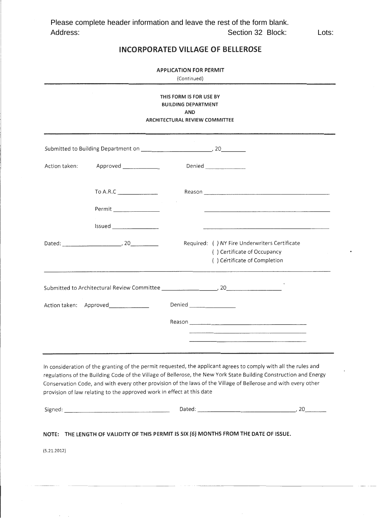### **INCORPORATED VILLAGE OF BELLEROSE**

**APPLICATION FOR PERMIT** 

| THIS FORM IS FOR USE BY<br><b>BUILDING DEPARTMENT</b><br>AND<br><b>ARCHITECTURAL REVIEW COMMITTEE</b> |                                                                       |                                                                                                                                                                                                                                                                                                                                                        |  |  |  |
|-------------------------------------------------------------------------------------------------------|-----------------------------------------------------------------------|--------------------------------------------------------------------------------------------------------------------------------------------------------------------------------------------------------------------------------------------------------------------------------------------------------------------------------------------------------|--|--|--|
|                                                                                                       |                                                                       |                                                                                                                                                                                                                                                                                                                                                        |  |  |  |
| Action taken:                                                                                         | Approved ______________                                               | Denied _________________                                                                                                                                                                                                                                                                                                                               |  |  |  |
|                                                                                                       | To A.R.C                                                              |                                                                                                                                                                                                                                                                                                                                                        |  |  |  |
|                                                                                                       |                                                                       |                                                                                                                                                                                                                                                                                                                                                        |  |  |  |
|                                                                                                       | Issued<br>Dated: 20                                                   | Required: ( ) NY Fire Underwriters Certificate<br>() Certificate of Occupancy<br>() Certificate of Completion                                                                                                                                                                                                                                          |  |  |  |
|                                                                                                       |                                                                       |                                                                                                                                                                                                                                                                                                                                                        |  |  |  |
|                                                                                                       | Action taken: Approved_____________                                   | Reason<br><u> 1980 - John Stone, Amerikaans van die Berger van die Berger van die Berger van die Berger van die Berger van die Berger van die Berger van die Berger van die Berger van die Berger van die Berger van die Berger van die Be</u>                                                                                                         |  |  |  |
|                                                                                                       | provision of law relating to the approved work in effect at this date | In consideration of the granting of the permit requested, the applicant agrees to comply with all the rules and<br>regulations of the Building Code of the Village of Bellerose, the New York State Building Construction and Energy<br>Conservation Code, and with every other provision of the laws of the Village of Bellerose and with every other |  |  |  |
|                                                                                                       |                                                                       |                                                                                                                                                                                                                                                                                                                                                        |  |  |  |
| (5.21.2012)                                                                                           |                                                                       | NOTE: THE LENGTH OF VALIDITY OF THIS PERMIT IS SIX (6) MONTHS FROM THE DATE OF ISSUE.                                                                                                                                                                                                                                                                  |  |  |  |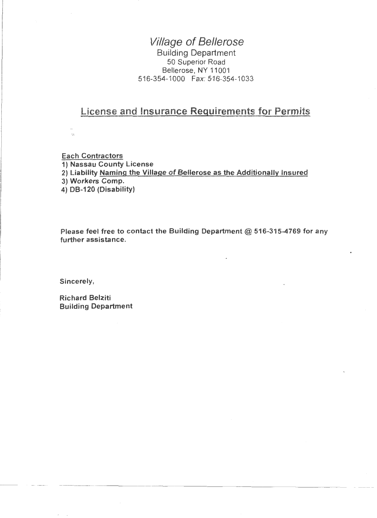# Village of Bellerose

Building Department 50 Superior Road Bellerose, NY 11001 516-354-1 000 Fax: 516-354-1 033

# License and Insurance Requirements for Permits

Each Contractors 1) Nassau County License 2) Liability Naming the Village of Bellerose as the Additionally Insured 3) Workers Comp. 4) DB-120 (Disability)

Please feel free to contact the Building Department @ 516-315-4769 for any further assistance.

Sincerely,

Richard Belziti Building Department